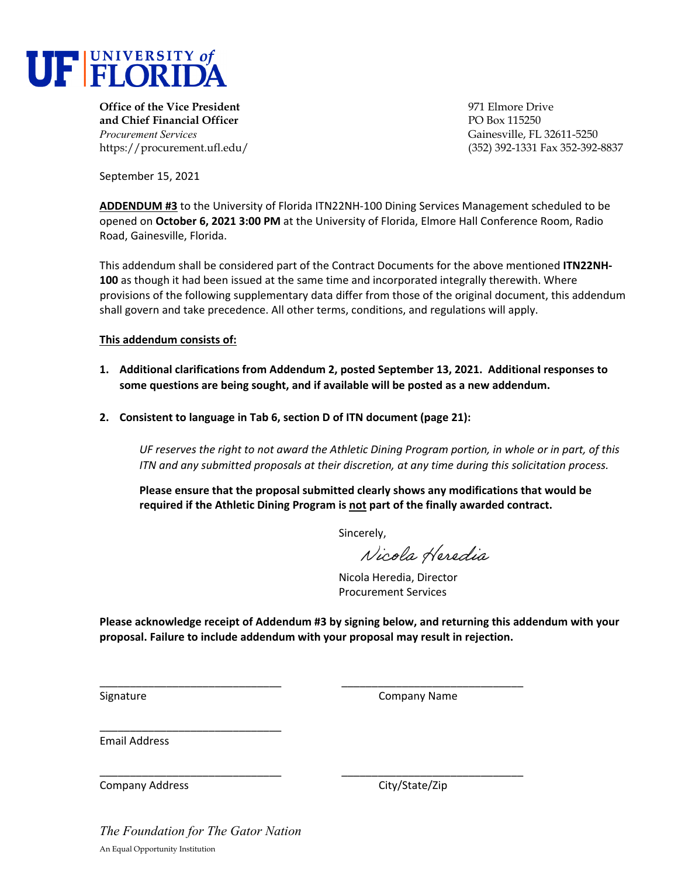

**Office of the Vice President** 971 Elmore Drive **and Chief Financial Officer** PO Box 115250 *Procurement Services* Gainesville, FL 32611-5250

https://procurement.ufl.edu/ (352) 392-1331 Fax 352-392-8837

September 15, 2021

**ADDENDUM #3** to the University of Florida ITN22NH‐100 Dining Services Management scheduled to be opened on **October 6, 2021 3:00 PM** at the University of Florida, Elmore Hall Conference Room, Radio Road, Gainesville, Florida.

This addendum shall be considered part of the Contract Documents for the above mentioned **ITN22NH‐ 100** as though it had been issued at the same time and incorporated integrally therewith. Where provisions of the following supplementary data differ from those of the original document, this addendum shall govern and take precedence. All other terms, conditions, and regulations will apply.

**This addendum consists of:** 

- **1. Additional clarifications from Addendum 2, posted September 13, 2021. Additional responses to some questions are being sought, and if available will be posted as a new addendum.**
- **2. Consistent to language in Tab 6, section D of ITN document (page 21):**

UF reserves the right to not award the Athletic Dining Program portion, in whole or in part, of this *ITN and any submitted proposals at their discretion, at any time during this solicitation process.*

**Please ensure that the proposal submitted clearly shows any modifications that would be required if the Athletic Dining Program is not part of the finally awarded contract.** 

Sincerely,

Nicola Heredia

Nicola Heredia, Director Procurement Services

**Please acknowledge receipt of Addendum #3 by signing below, and returning this addendum with your proposal. Failure to include addendum with your proposal may result in rejection.**

\_\_\_\_\_\_\_\_\_\_\_\_\_\_\_\_\_\_\_\_\_\_\_\_\_\_\_\_\_\_ \_\_\_\_\_\_\_\_\_\_\_\_\_\_\_\_\_\_\_\_\_\_\_\_\_\_\_\_\_\_

\_\_\_\_\_\_\_\_\_\_\_\_\_\_\_\_\_\_\_\_\_\_\_\_\_\_\_\_\_\_ \_\_\_\_\_\_\_\_\_\_\_\_\_\_\_\_\_\_\_\_\_\_\_\_\_\_\_\_\_\_

Signature **Company Name** Signature  **Signature Signature Company Name** 

Email Address

Company Address City/State/Zip

*The Foundation for The Gator Nation*  An Equal Opportunity Institution

\_\_\_\_\_\_\_\_\_\_\_\_\_\_\_\_\_\_\_\_\_\_\_\_\_\_\_\_\_\_